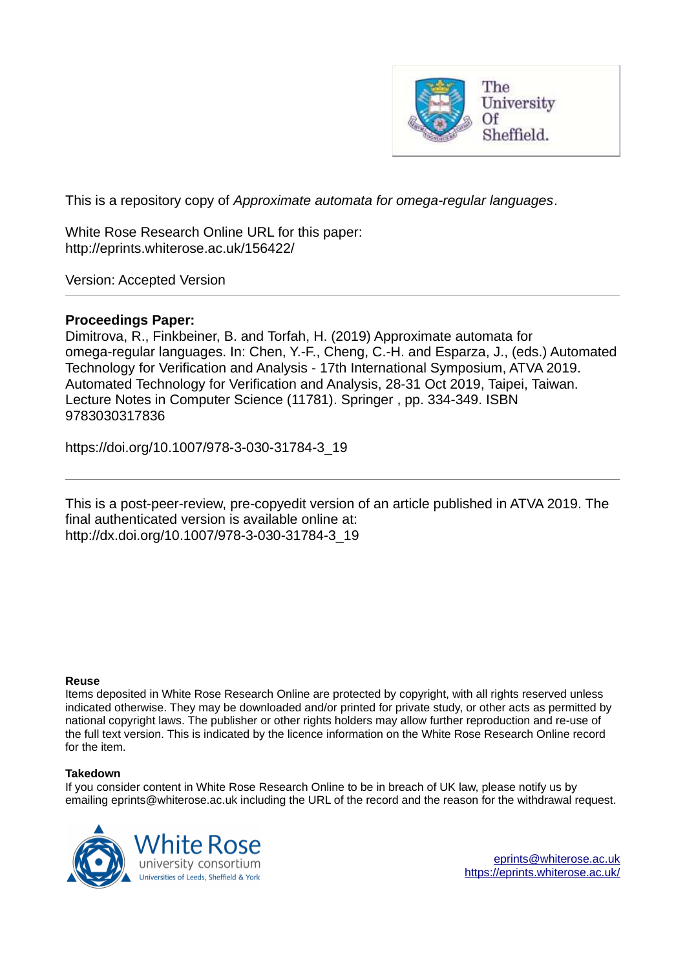

This is a repository copy of *Approximate automata for omega-regular languages*.

White Rose Research Online URL for this paper: http://eprints.whiterose.ac.uk/156422/

Version: Accepted Version

# **Proceedings Paper:**

Dimitrova, R., Finkbeiner, B. and Torfah, H. (2019) Approximate automata for omega-regular languages. In: Chen, Y.-F., Cheng, C.-H. and Esparza, J., (eds.) Automated Technology for Verification and Analysis - 17th International Symposium, ATVA 2019. Automated Technology for Verification and Analysis, 28-31 Oct 2019, Taipei, Taiwan. Lecture Notes in Computer Science (11781). Springer , pp. 334-349. ISBN 9783030317836

https://doi.org/10.1007/978-3-030-31784-3\_19

This is a post-peer-review, pre-copyedit version of an article published in ATVA 2019. The final authenticated version is available online at: http://dx.doi.org/10.1007/978-3-030-31784-3\_19

# **Reuse**

Items deposited in White Rose Research Online are protected by copyright, with all rights reserved unless indicated otherwise. They may be downloaded and/or printed for private study, or other acts as permitted by national copyright laws. The publisher or other rights holders may allow further reproduction and re-use of the full text version. This is indicated by the licence information on the White Rose Research Online record for the item.

# **Takedown**

If you consider content in White Rose Research Online to be in breach of UK law, please notify us by emailing eprints@whiterose.ac.uk including the URL of the record and the reason for the withdrawal request.

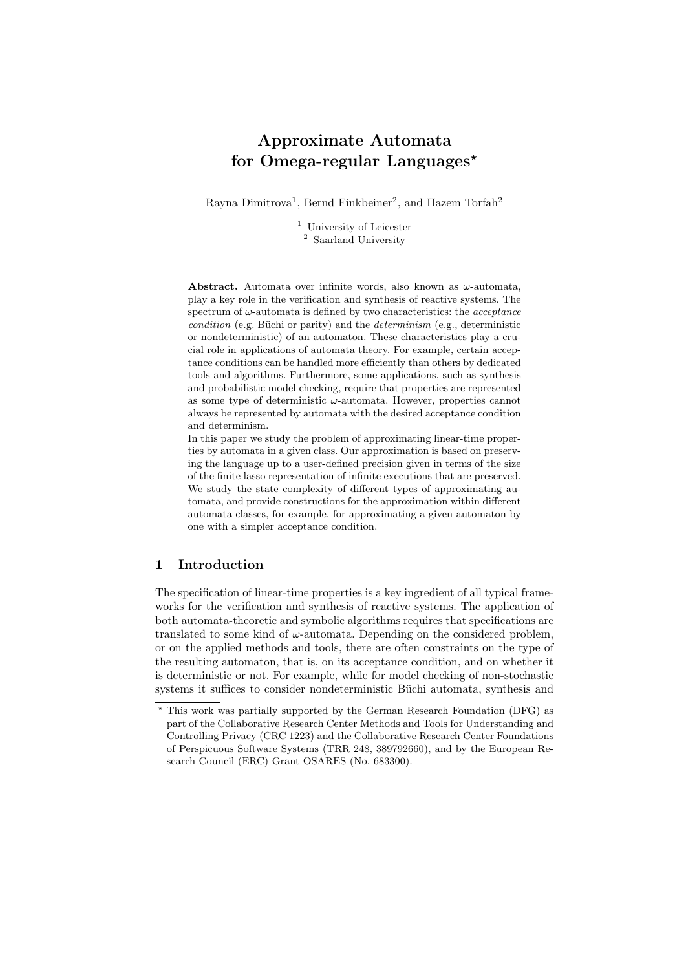# Approximate Automata for Omega-regular Languages<sup>\*</sup>

Rayna Dimitrova<sup>1</sup>, Bernd Finkbeiner<sup>2</sup>, and Hazem Torfah<sup>2</sup>

<sup>1</sup> University of Leicester <sup>2</sup> Saarland University

Abstract. Automata over infinite words, also known as  $\omega$ -automata, play a key role in the verification and synthesis of reactive systems. The spectrum of  $\omega$ -automata is defined by two characteristics: the *acceptance*  $condition (e.g. Büchi or parity)$  and the *determinism*  $(e.g., deterministic)$ or nondeterministic) of an automaton. These characteristics play a crucial role in applications of automata theory. For example, certain acceptance conditions can be handled more efficiently than others by dedicated tools and algorithms. Furthermore, some applications, such as synthesis and probabilistic model checking, require that properties are represented as some type of deterministic  $\omega$ -automata. However, properties cannot always be represented by automata with the desired acceptance condition and determinism.

In this paper we study the problem of approximating linear-time properties by automata in a given class. Our approximation is based on preserving the language up to a user-defined precision given in terms of the size of the finite lasso representation of infinite executions that are preserved. We study the state complexity of different types of approximating automata, and provide constructions for the approximation within different automata classes, for example, for approximating a given automaton by one with a simpler acceptance condition.

# 1 Introduction

The specification of linear-time properties is a key ingredient of all typical frameworks for the verification and synthesis of reactive systems. The application of both automata-theoretic and symbolic algorithms requires that specifications are translated to some kind of  $\omega$ -automata. Depending on the considered problem, or on the applied methods and tools, there are often constraints on the type of the resulting automaton, that is, on its acceptance condition, and on whether it is deterministic or not. For example, while for model checking of non-stochastic systems it suffices to consider nondeterministic Büchi automata, synthesis and

<sup>⋆</sup> This work was partially supported by the German Research Foundation (DFG) as part of the Collaborative Research Center Methods and Tools for Understanding and Controlling Privacy (CRC 1223) and the Collaborative Research Center Foundations of Perspicuous Software Systems (TRR 248, 389792660), and by the European Research Council (ERC) Grant OSARES (No. 683300).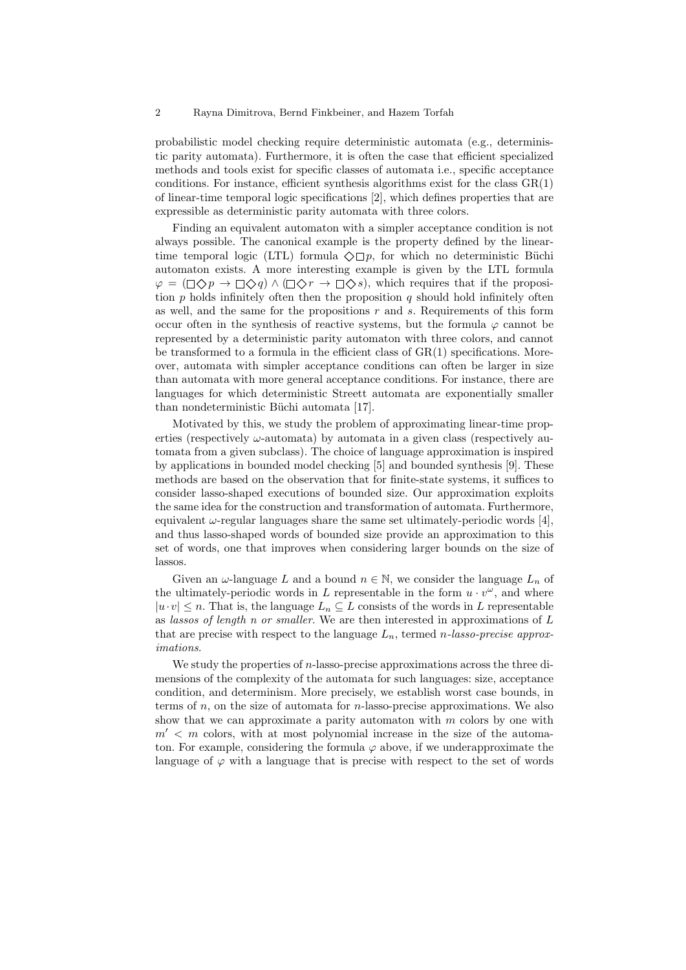probabilistic model checking require deterministic automata (e.g., deterministic parity automata). Furthermore, it is often the case that efficient specialized methods and tools exist for specific classes of automata i.e., specific acceptance conditions. For instance, efficient synthesis algorithms exist for the class  $GR(1)$ of linear-time temporal logic specifications [2], which defines properties that are expressible as deterministic parity automata with three colors.

Finding an equivalent automaton with a simpler acceptance condition is not always possible. The canonical example is the property defined by the lineartime temporal logic (LTL) formula  $\Diamond \Box p$ , for which no deterministic Büchi automaton exists. A more interesting example is given by the LTL formula  $\varphi = (\Box \Diamond p \to \Box \Diamond q) \land (\Box \Diamond r \to \Box \Diamond s)$ , which requires that if the proposition  $p$  holds infinitely often then the proposition  $q$  should hold infinitely often as well, and the same for the propositions  $r$  and  $s$ . Requirements of this form occur often in the synthesis of reactive systems, but the formula  $\varphi$  cannot be represented by a deterministic parity automaton with three colors, and cannot be transformed to a formula in the efficient class of  $GR(1)$  specifications. Moreover, automata with simpler acceptance conditions can often be larger in size than automata with more general acceptance conditions. For instance, there are languages for which deterministic Streett automata are exponentially smaller than nondeterministic Büchi automata [17].

Motivated by this, we study the problem of approximating linear-time properties (respectively  $\omega$ -automata) by automata in a given class (respectively automata from a given subclass). The choice of language approximation is inspired by applications in bounded model checking [5] and bounded synthesis [9]. These methods are based on the observation that for finite-state systems, it suffices to consider lasso-shaped executions of bounded size. Our approximation exploits the same idea for the construction and transformation of automata. Furthermore, equivalent  $\omega$ -regular languages share the same set ultimately-periodic words [4], and thus lasso-shaped words of bounded size provide an approximation to this set of words, one that improves when considering larger bounds on the size of lassos.

Given an  $\omega$ -language L and a bound  $n \in \mathbb{N}$ , we consider the language  $L_n$  of the ultimately-periodic words in L representable in the form  $u \cdot v^{\omega}$ , and where  $|u \cdot v| \leq n$ . That is, the language  $L_n \subseteq L$  consists of the words in L representable as lassos of length n or smaller. We are then interested in approximations of L that are precise with respect to the language  $L_n$ , termed *n*-lasso-precise approximations.

We study the properties of  $n$ -lasso-precise approximations across the three dimensions of the complexity of the automata for such languages: size, acceptance condition, and determinism. More precisely, we establish worst case bounds, in terms of  $n$ , on the size of automata for  $n$ -lasso-precise approximations. We also show that we can approximate a parity automaton with  $m$  colors by one with  $m' < m$  colors, with at most polynomial increase in the size of the automaton. For example, considering the formula  $\varphi$  above, if we underapproximate the language of  $\varphi$  with a language that is precise with respect to the set of words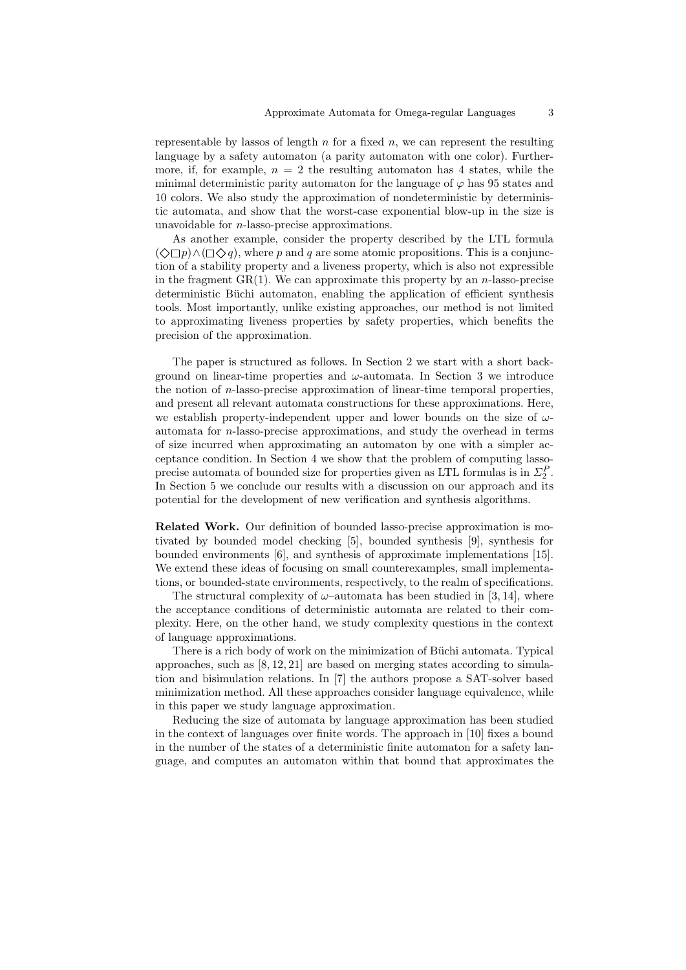representable by lassos of length  $n$  for a fixed  $n$ , we can represent the resulting language by a safety automaton (a parity automaton with one color). Furthermore, if, for example,  $n = 2$  the resulting automaton has 4 states, while the minimal deterministic parity automaton for the language of  $\varphi$  has 95 states and 10 colors. We also study the approximation of nondeterministic by deterministic automata, and show that the worst-case exponential blow-up in the size is unavoidable for n-lasso-precise approximations.

As another example, consider the property described by the LTL formula  $({\diamond} \cap p) \wedge (\neg {\diamond} q)$ , where p and q are some atomic propositions. This is a conjunction of a stability property and a liveness property, which is also not expressible in the fragment  $GR(1)$ . We can approximate this property by an *n*-lasso-precise deterministic Büchi automaton, enabling the application of efficient synthesis tools. Most importantly, unlike existing approaches, our method is not limited to approximating liveness properties by safety properties, which benefits the precision of the approximation.

The paper is structured as follows. In Section 2 we start with a short background on linear-time properties and  $\omega$ -automata. In Section 3 we introduce the notion of n-lasso-precise approximation of linear-time temporal properties, and present all relevant automata constructions for these approximations. Here, we establish property-independent upper and lower bounds on the size of  $\omega$ automata for n-lasso-precise approximations, and study the overhead in terms of size incurred when approximating an automaton by one with a simpler acceptance condition. In Section 4 we show that the problem of computing lassoprecise automata of bounded size for properties given as LTL formulas is in  $\Sigma_2^P$ . In Section 5 we conclude our results with a discussion on our approach and its potential for the development of new verification and synthesis algorithms.

Related Work. Our definition of bounded lasso-precise approximation is motivated by bounded model checking [5], bounded synthesis [9], synthesis for bounded environments [6], and synthesis of approximate implementations [15]. We extend these ideas of focusing on small counterexamples, small implementations, or bounded-state environments, respectively, to the realm of specifications.

The structural complexity of  $\omega$ -automata has been studied in [3, 14], where the acceptance conditions of deterministic automata are related to their complexity. Here, on the other hand, we study complexity questions in the context of language approximations.

There is a rich body of work on the minimization of Büchi automata. Typical approaches, such as [8, 12, 21] are based on merging states according to simulation and bisimulation relations. In [7] the authors propose a SAT-solver based minimization method. All these approaches consider language equivalence, while in this paper we study language approximation.

Reducing the size of automata by language approximation has been studied in the context of languages over finite words. The approach in [10] fixes a bound in the number of the states of a deterministic finite automaton for a safety language, and computes an automaton within that bound that approximates the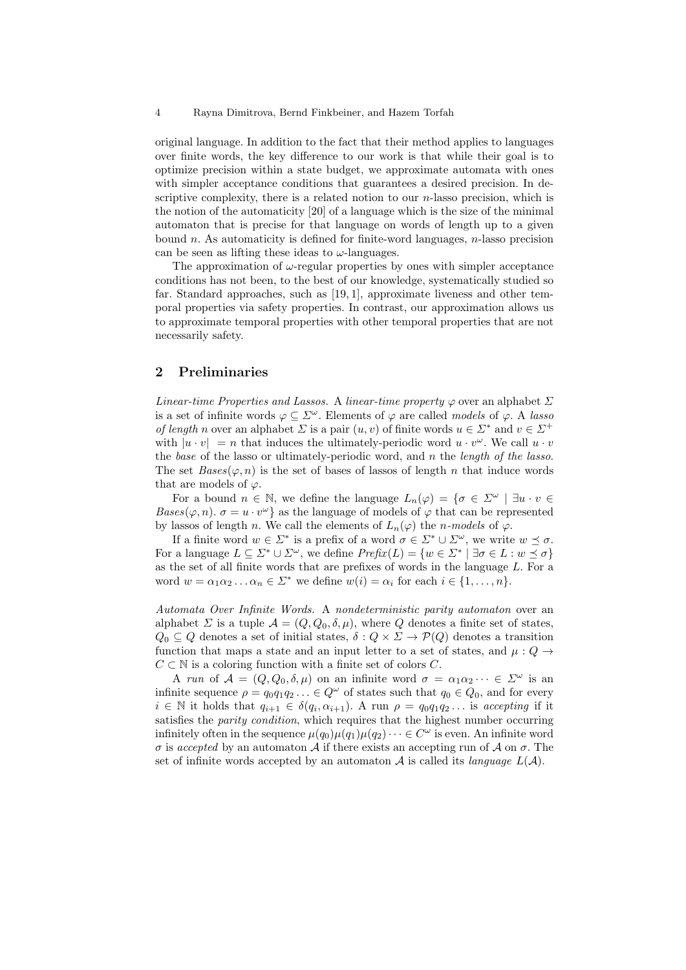original language. In addition to the fact that their method applies to languages over finite words, the key difference to our work is that while their goal is to optimize precision within a state budget, we approximate automata with ones with simpler acceptance conditions that guarantees a desired precision. In descriptive complexity, there is a related notion to our  $n$ -lasso precision, which is the notion of the automaticity [20] of a language which is the size of the minimal automaton that is precise for that language on words of length up to a given bound n. As automaticity is defined for finite-word languages,  $n$ -lasso precision can be seen as lifting these ideas to  $\omega$ -languages.

The approximation of  $\omega$ -regular properties by ones with simpler acceptance conditions has not been, to the best of our knowledge, systematically studied so far. Standard approaches, such as [19, 1], approximate liveness and other temporal properties via safety properties. In contrast, our approximation allows us to approximate temporal properties with other temporal properties that are not necessarily safety.

# 2 Preliminaries

Linear-time Properties and Lassos. A linear-time property  $\varphi$  over an alphabet  $\Sigma$ is a set of infinite words  $\varphi \subseteq \Sigma^{\omega}$ . Elements of  $\varphi$  are called models of  $\varphi$ . A lasso of length n over an alphabet  $\Sigma$  is a pair  $(u, v)$  of finite words  $u \in \Sigma^*$  and  $v \in \Sigma^+$ with  $|u \cdot v| = n$  that induces the ultimately-periodic word  $u \cdot v^{\omega}$ . We call  $u \cdot v$ the base of the lasso or ultimately-periodic word, and  $n$  the length of the lasso. The set  $Bases(\varphi, n)$  is the set of bases of lassos of length n that induce words that are models of  $\varphi$ .

For a bound  $n \in \mathbb{N}$ , we define the language  $L_n(\varphi) = \{ \sigma \in \Sigma^\omega \mid \exists u \cdot v \in \mathbb{N} \}$  $Bases(\varphi, n)$ .  $\sigma = u \cdot v^{\omega}$  as the language of models of  $\varphi$  that can be represented by lassos of length n. We call the elements of  $L_n(\varphi)$  the n-models of  $\varphi$ .

If a finite word  $w \in \Sigma^*$  is a prefix of a word  $\sigma \in \Sigma^* \cup \Sigma^\omega$ , we write  $w \preceq \sigma$ . For a language  $L \subseteq \Sigma^* \cup \Sigma^\omega$ , we define  $\text{Prefix}(L) = \{w \in \Sigma^* \mid \exists \sigma \in L : w \preceq \sigma\}$ as the set of all finite words that are prefixes of words in the language L. For a word  $w = \alpha_1 \alpha_2 \ldots \alpha_n \in \Sigma^*$  we define  $w(i) = \alpha_i$  for each  $i \in \{1, \ldots, n\}.$ 

Automata Over Infinite Words. A nondeterministic parity automaton over an alphabet  $\Sigma$  is a tuple  $\mathcal{A} = (Q, Q_0, \delta, \mu)$ , where Q denotes a finite set of states,  $Q_0 \subseteq Q$  denotes a set of initial states,  $\delta: Q \times \Sigma \to \mathcal{P}(Q)$  denotes a transition function that maps a state and an input letter to a set of states, and  $\mu: Q \rightarrow$  $C \subset \mathbb{N}$  is a coloring function with a finite set of colors C.

A run of  $\mathcal{A} = (Q, Q_0, \delta, \mu)$  on an infinite word  $\sigma = \alpha_1 \alpha_2 \cdots \in \Sigma^{\omega}$  is an infinite sequence  $\rho = q_0 q_1 q_2 ... \in Q^{\omega}$  of states such that  $q_0 \in Q_0$ , and for every  $i \in \mathbb{N}$  it holds that  $q_{i+1} \in \delta(q_i, \alpha_{i+1})$ . A run  $\rho = q_0 q_1 q_2 \dots$  is accepting if it satisfies the *parity condition*, which requires that the highest number occurring infinitely often in the sequence  $\mu(q_0)\mu(q_1)\mu(q_2)\cdots \in C^{\omega}$  is even. An infinite word  $\sigma$  is accepted by an automaton A if there exists an accepting run of A on  $\sigma$ . The set of infinite words accepted by an automaton A is called its *language*  $L(\mathcal{A})$ .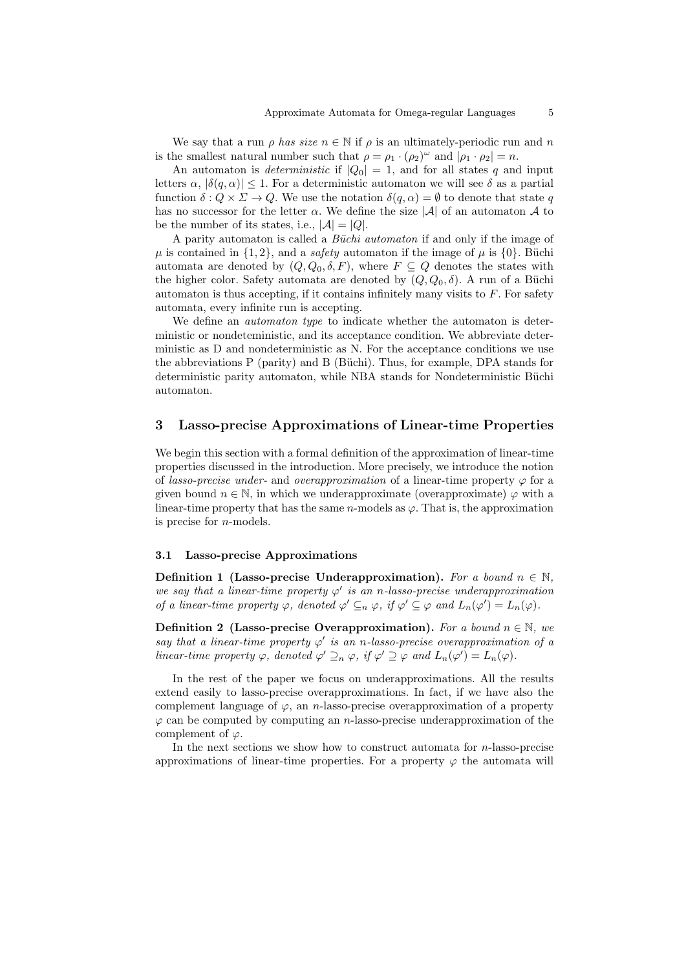We say that a run  $\rho$  has size  $n \in \mathbb{N}$  if  $\rho$  is an ultimately-periodic run and n is the smallest natural number such that  $\rho = \rho_1 \cdot (\rho_2)^{\omega}$  and  $|\rho_1 \cdot \rho_2| = n$ .

An automaton is *deterministic* if  $|Q_0| = 1$ , and for all states q and input letters  $\alpha$ ,  $|\delta(q,\alpha)| < 1$ . For a deterministic automaton we will see  $\delta$  as a partial function  $\delta: Q \times \Sigma \to Q$ . We use the notation  $\delta(q, \alpha) = \emptyset$  to denote that state q has no successor for the letter  $\alpha$ . We define the size  $|\mathcal{A}|$  of an automaton  $\mathcal{A}$  to be the number of its states, i.e.,  $|\mathcal{A}| = |Q|$ .

A parity automaton is called a *Büchi automaton* if and only if the image of  $\mu$  is contained in  $\{1, 2\}$ , and a *safety* automaton if the image of  $\mu$  is  $\{0\}$ . Büchi automata are denoted by  $(Q, Q_0, \delta, F)$ , where  $F \subseteq Q$  denotes the states with the higher color. Safety automata are denoted by  $(Q, Q_0, \delta)$ . A run of a Büchi automaton is thus accepting, if it contains infinitely many visits to  $F$ . For safety automata, every infinite run is accepting.

We define an *automaton type* to indicate whether the automaton is deterministic or nondeteministic, and its acceptance condition. We abbreviate deterministic as D and nondeterministic as N. For the acceptance conditions we use the abbreviations  $P$  (parity) and  $B$  (Büchi). Thus, for example, DPA stands for deterministic parity automaton, while NBA stands for Nondeterministic Büchi automaton.

## 3 Lasso-precise Approximations of Linear-time Properties

We begin this section with a formal definition of the approximation of linear-time properties discussed in the introduction. More precisely, we introduce the notion of lasso-precise under- and overapproximation of a linear-time property  $\varphi$  for a given bound  $n \in \mathbb{N}$ , in which we underapproximate (overapproximate)  $\varphi$  with a linear-time property that has the same  $n$ -models as  $\varphi$ . That is, the approximation is precise for n-models.

#### 3.1 Lasso-precise Approximations

Definition 1 (Lasso-precise Underapproximation). For a bound  $n \in \mathbb{N}$ , we say that a linear-time property  $\varphi'$  is an n-lasso-precise underapproximation of a linear-time property  $\varphi$ , denoted  $\varphi' \subseteq_n \varphi$ , if  $\varphi' \subseteq \varphi$  and  $L_n(\varphi') = L_n(\varphi)$ .

**Definition 2** (Lasso-precise Overapproximation). For a bound  $n \in \mathbb{N}$ , we say that a linear-time property  $\varphi'$  is an n-lasso-precise overapproximation of a linear-time property  $\varphi$ , denoted  $\varphi' \supseteq_n \varphi$ , if  $\varphi' \supseteq \varphi$  and  $L_n(\varphi') = L_n(\varphi)$ .

In the rest of the paper we focus on underapproximations. All the results extend easily to lasso-precise overapproximations. In fact, if we have also the complement language of  $\varphi$ , an *n*-lasso-precise overapproximation of a property  $\varphi$  can be computed by computing an *n*-lasso-precise underapproximation of the complement of  $\varphi$ .

In the next sections we show how to construct automata for  $n$ -lasso-precise approximations of linear-time properties. For a property  $\varphi$  the automata will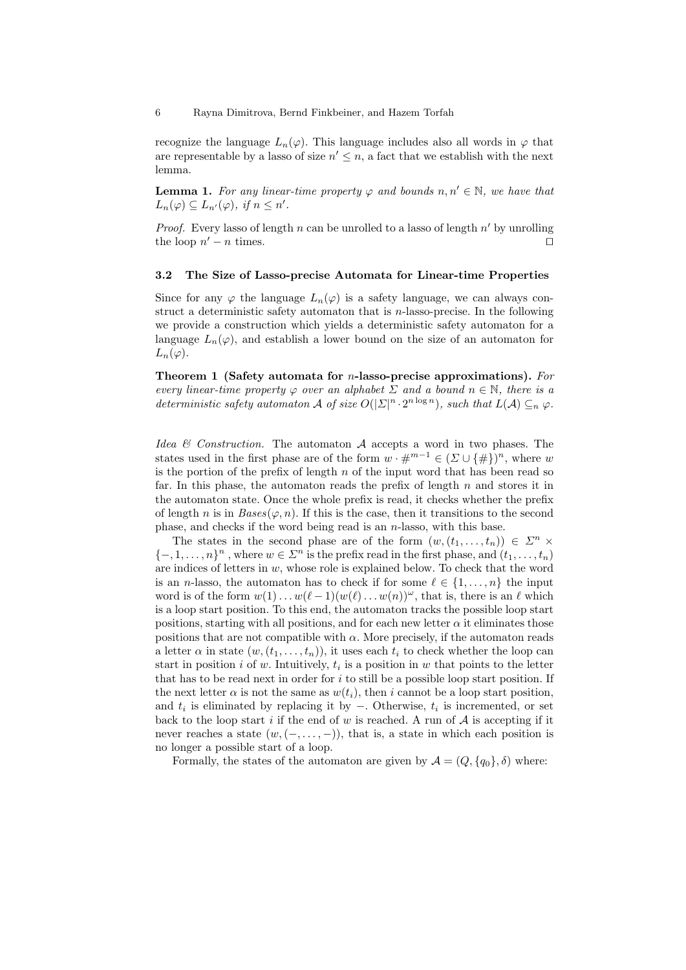recognize the language  $L_n(\varphi)$ . This language includes also all words in  $\varphi$  that are representable by a lasso of size  $n' \leq n$ , a fact that we establish with the next lemma.

**Lemma 1.** For any linear-time property  $\varphi$  and bounds  $n, n' \in \mathbb{N}$ , we have that  $L_n(\varphi) \subseteq L_{n'}(\varphi)$ , if  $n \leq n'$ .

*Proof.* Every lasso of length  $n$  can be unrolled to a lasso of length  $n'$  by unrolling the loop  $n' - n$  times.  $□$ 

#### 3.2 The Size of Lasso-precise Automata for Linear-time Properties

Since for any  $\varphi$  the language  $L_n(\varphi)$  is a safety language, we can always construct a deterministic safety automaton that is  $n$ -lasso-precise. In the following we provide a construction which yields a deterministic safety automaton for a language  $L_n(\varphi)$ , and establish a lower bound on the size of an automaton for  $L_n(\varphi)$ .

Theorem 1 (Safety automata for n-lasso-precise approximations). For every linear-time property  $\varphi$  over an alphabet  $\Sigma$  and a bound  $n \in \mathbb{N}$ , there is a deterministic safety automaton A of size  $O(|\Sigma|^n \cdot 2^{n \log n})$ , such that  $L(\mathcal{A}) \subseteq_n \varphi$ .

Idea  $\mathcal B$  Construction. The automaton A accepts a word in two phases. The states used in the first phase are of the form  $w \cdot \#^{m-1} \in (\Sigma \cup \{\#\})^n$ , where w is the portion of the prefix of length  $n$  of the input word that has been read so far. In this phase, the automaton reads the prefix of length  $n$  and stores it in the automaton state. Once the whole prefix is read, it checks whether the prefix of length n is in  $Bases(\varphi, n)$ . If this is the case, then it transitions to the second phase, and checks if the word being read is an n-lasso, with this base.

The states in the second phase are of the form  $(w,(t_1,\ldots,t_n)) \in \mathbb{Z}^n \times$  $\{-, 1, \ldots, n\}^n$ , where  $w \in \mathbb{Z}^n$  is the prefix read in the first phase, and  $(t_1, \ldots, t_n)$ are indices of letters in  $w$ , whose role is explained below. To check that the word is an n-lasso, the automaton has to check if for some  $\ell \in \{1, \ldots, n\}$  the input word is of the form  $w(1) \dots w(\ell-1)(w(\ell) \dots w(n))^{\omega}$ , that is, there is an  $\ell$  which is a loop start position. To this end, the automaton tracks the possible loop start positions, starting with all positions, and for each new letter  $\alpha$  it eliminates those positions that are not compatible with  $\alpha$ . More precisely, if the automaton reads a letter  $\alpha$  in state  $(w,(t_1,\ldots,t_n))$ , it uses each  $t_i$  to check whether the loop can start in position *i* of w. Intuitively,  $t_i$  is a position in w that points to the letter that has to be read next in order for  $i$  to still be a possible loop start position. If the next letter  $\alpha$  is not the same as  $w(t_i)$ , then i cannot be a loop start position, and  $t_i$  is eliminated by replacing it by  $-$ . Otherwise,  $t_i$  is incremented, or set back to the loop start i if the end of w is reached. A run of  $A$  is accepting if it never reaches a state  $(w, (-, \ldots, -))$ , that is, a state in which each position is no longer a possible start of a loop.

Formally, the states of the automaton are given by  $\mathcal{A} = (Q, \{q_0\}, \delta)$  where: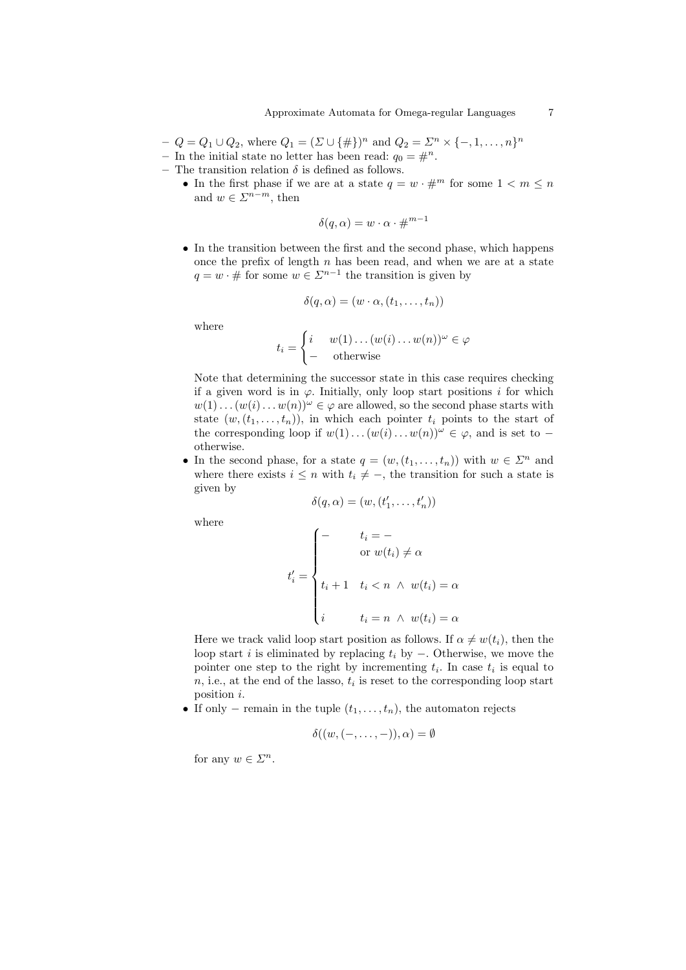- $Q = Q_1 ∪ Q_2$ , where  $Q_1 = (\Sigma ∪ {\#})^n$  and  $Q_2 = \Sigma^n × {-, 1, ..., n}^n$
- In the initial state no letter has been read:  $q_0 = \#^n$ .

– The transition relation  $\delta$  is defined as follows.

• In the first phase if we are at a state  $q = w \cdot \#^m$  for some  $1 \lt m \leq n$ and  $w \in \mathbb{Z}^{n-m}$ , then

$$
\delta(q,\alpha) = w \cdot \alpha \cdot \#^{m-1}
$$

• In the transition between the first and the second phase, which happens once the prefix of length  $n$  has been read, and when we are at a state  $q = w \cdot #$  for some  $w \in \mathbb{Z}^{n-1}$  the transition is given by

$$
\delta(q,\alpha)=(w\cdot\alpha,(t_1,\ldots,t_n))
$$

where

$$
t_i = \begin{cases} i & w(1) \dots (w(i) \dots w(n))^{\omega} \in \varphi \\ - & \text{otherwise} \end{cases}
$$

Note that determining the successor state in this case requires checking if a given word is in  $\varphi$ . Initially, only loop start positions i for which  $w(1)\dots(w(i)\dots w(n))^{\omega} \in \varphi$  are allowed, so the second phase starts with state  $(w,(t_1,\ldots,t_n))$ , in which each pointer  $t_i$  points to the start of the corresponding loop if  $w(1)...(w(i)...w(n))^{\omega} \in \varphi$ , and is set to − otherwise.

• In the second phase, for a state  $q = (w,(t_1,\ldots,t_n))$  with  $w \in \mathbb{Z}^n$  and where there exists  $i \leq n$  with  $t_i \neq -$ , the transition for such a state is given by

$$
\delta(q,\alpha)=(w,(t'_1,\ldots,t'_n))
$$

where

$$
t'_{i} = \begin{cases} - & t_{i} = - \\ & \text{or } w(t_{i}) \neq \alpha \\ t_{i} + 1 & t_{i} < n \ \land \ w(t_{i}) = \alpha \\ i & t_{i} = n \ \land \ w(t_{i}) = \alpha \end{cases}
$$

Here we track valid loop start position as follows. If  $\alpha \neq w(t_i)$ , then the loop start *i* is eliminated by replacing  $t_i$  by  $\text{-}$ . Otherwise, we move the pointer one step to the right by incrementing  $t_i$ . In case  $t_i$  is equal to  $n$ , i.e., at the end of the lasso,  $t_i$  is reset to the corresponding loop start position i.

• If only – remain in the tuple  $(t_1, \ldots, t_n)$ , the automaton rejects

$$
\delta((w, (-, \ldots, -)), \alpha) = \emptyset
$$

for any  $w \in \mathbb{Z}^n$ .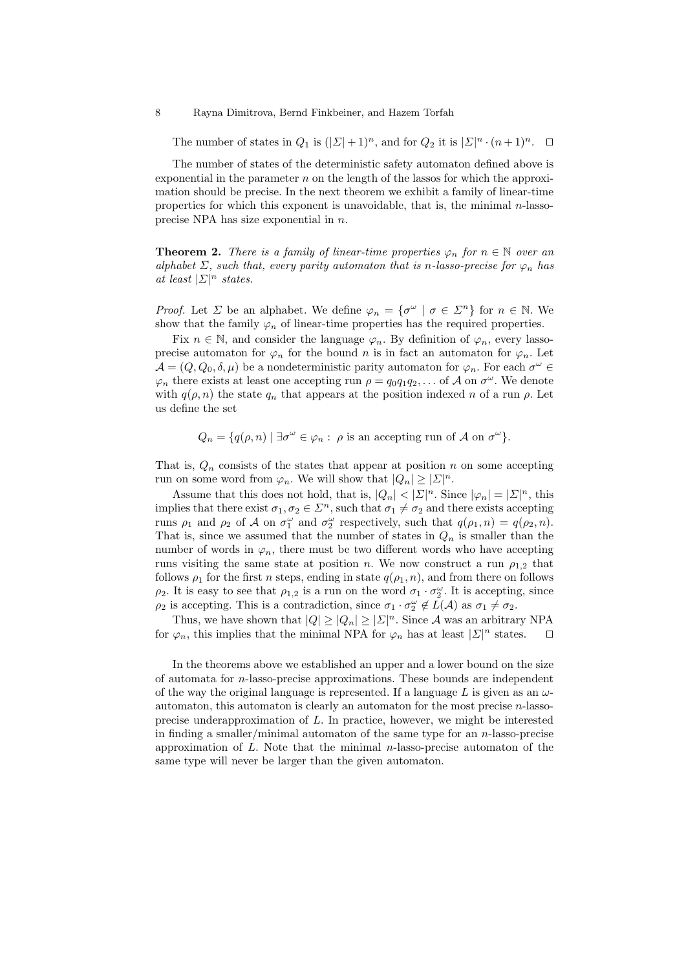The number of states in  $Q_1$  is  $(|\Sigma|+1)^n$ , and for  $Q_2$  it is  $|\Sigma|^n \cdot (n+1)^n$ .  $\Box$ 

The number of states of the deterministic safety automaton defined above is exponential in the parameter  $n$  on the length of the lassos for which the approximation should be precise. In the next theorem we exhibit a family of linear-time properties for which this exponent is unavoidable, that is, the minimal  $n$ -lassoprecise NPA has size exponential in  $n$ .

**Theorem 2.** There is a family of linear-time properties  $\varphi_n$  for  $n \in \mathbb{N}$  over an alphabet  $\Sigma$ , such that, every parity automaton that is n-lasso-precise for  $\varphi_n$  has at least  $|\Sigma|^n$  states.

*Proof.* Let  $\Sigma$  be an alphabet. We define  $\varphi_n = {\sigma^{\omega} \mid \sigma \in \Sigma^n}$  for  $n \in \mathbb{N}$ . We show that the family  $\varphi_n$  of linear-time properties has the required properties.

Fix  $n \in \mathbb{N}$ , and consider the language  $\varphi_n$ . By definition of  $\varphi_n$ , every lassoprecise automaton for  $\varphi_n$  for the bound n is in fact an automaton for  $\varphi_n$ . Let  $\mathcal{A} = (Q, Q_0, \delta, \mu)$  be a nondeterministic parity automaton for  $\varphi_n$ . For each  $\sigma^{\omega} \in$  $\varphi_n$  there exists at least one accepting run  $\rho = q_0 q_1 q_2, \dots$  of A on  $\sigma^{\omega}$ . We denote with  $q(\rho, n)$  the state  $q_n$  that appears at the position indexed n of a run  $\rho$ . Let us define the set

$$
Q_n = \{ q(\rho, n) \mid \exists \sigma^{\omega} \in \varphi_n : \rho \text{ is an accepting run of } A \text{ on } \sigma^{\omega} \}.
$$

That is,  $Q_n$  consists of the states that appear at position n on some accepting run on some word from  $\varphi_n$ . We will show that  $|Q_n| \geq |\Sigma|^n$ .

Assume that this does not hold, that is,  $|Q_n| < |\Sigma|^n$ . Since  $|\varphi_n| = |\Sigma|^n$ , this implies that there exist  $\sigma_1, \sigma_2 \in \Sigma^n$ , such that  $\sigma_1 \neq \sigma_2$  and there exists accepting runs  $\rho_1$  and  $\rho_2$  of A on  $\sigma_1^{\omega}$  and  $\sigma_2^{\omega}$  respectively, such that  $q(\rho_1, n) = q(\rho_2, n)$ . That is, since we assumed that the number of states in  $Q_n$  is smaller than the number of words in  $\varphi_n$ , there must be two different words who have accepting runs visiting the same state at position n. We now construct a run  $\rho_{1,2}$  that follows  $\rho_1$  for the first n steps, ending in state  $q(\rho_1, n)$ , and from there on follows  $\rho_2$ . It is easy to see that  $\rho_{1,2}$  is a run on the word  $\sigma_1 \cdot \sigma_2^{\omega}$ . It is accepting, since  $\rho_2$  is accepting. This is a contradiction, since  $\sigma_1 \cdot \sigma_2^{\omega} \notin L(\mathcal{A})$  as  $\sigma_1 \neq \sigma_2$ .

Thus, we have shown that  $|Q| \geq |Q_n| \geq |\Sigma|^n$ . Since A was an arbitrary NPA for  $\varphi_n$ , this implies that the minimal NPA for  $\varphi_n$  has at least  $|\Sigma|^n$  states.  $\Box$ 

In the theorems above we established an upper and a lower bound on the size of automata for n-lasso-precise approximations. These bounds are independent of the way the original language is represented. If a language L is given as an  $\omega$ automaton, this automaton is clearly an automaton for the most precise n-lassoprecise underapproximation of  $L$ . In practice, however, we might be interested in finding a smaller/minimal automaton of the same type for an n-lasso-precise approximation of  $L$ . Note that the minimal *n*-lasso-precise automaton of the same type will never be larger than the given automaton.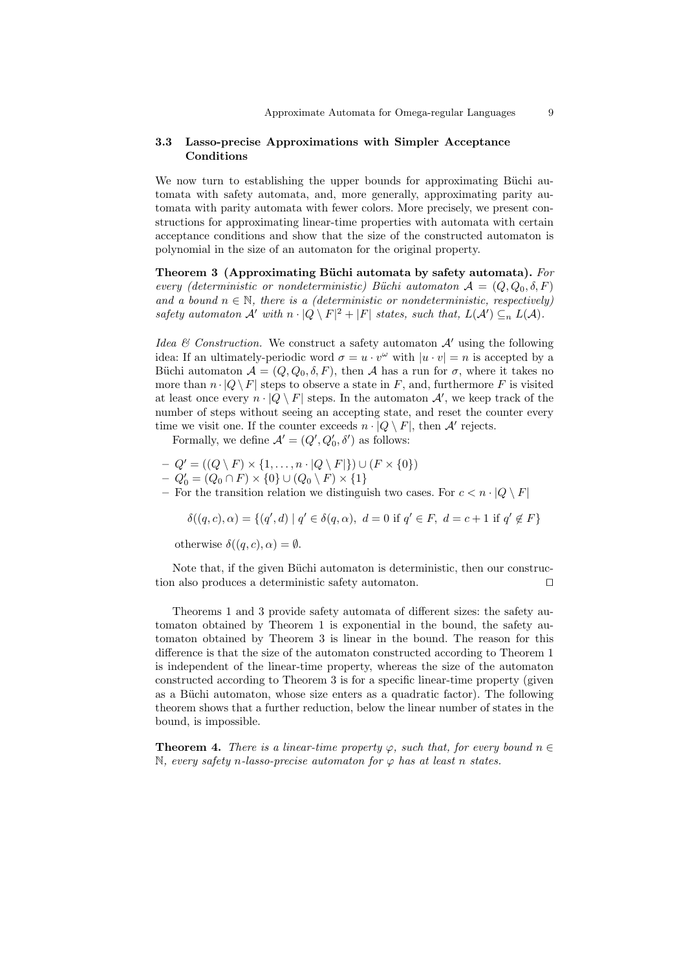## 3.3 Lasso-precise Approximations with Simpler Acceptance Conditions

We now turn to establishing the upper bounds for approximating Büchi automata with safety automata, and, more generally, approximating parity automata with parity automata with fewer colors. More precisely, we present constructions for approximating linear-time properties with automata with certain acceptance conditions and show that the size of the constructed automaton is polynomial in the size of an automaton for the original property.

Theorem 3 (Approximating Büchi automata by safety automata). For every (deterministic or nondeterministic) Büchi automaton  $\mathcal{A} = (Q, Q_0, \delta, F)$ and a bound  $n \in \mathbb{N}$ , there is a (deterministic or nondeterministic, respectively) safety automaton  $\mathcal{A}'$  with  $n \cdot |Q \setminus F|^2 + |F|$  states, such that,  $L(\mathcal{A}') \subseteq_n L(\mathcal{A})$ .

Idea & Construction. We construct a safety automaton  $A'$  using the following idea: If an ultimately-periodic word  $\sigma = u \cdot v^{\omega}$  with  $|u \cdot v| = n$  is accepted by a Büchi automaton  $\mathcal{A} = (Q, Q_0, \delta, F)$ , then A has a run for  $\sigma$ , where it takes no more than  $n \cdot |Q \setminus F|$  steps to observe a state in F, and, furthermore F is visited at least once every  $n \cdot |Q \setminus F|$  steps. In the automaton  $\mathcal{A}'$ , we keep track of the number of steps without seeing an accepting state, and reset the counter every time we visit one. If the counter exceeds  $n \cdot |Q \setminus F|$ , then  $\mathcal{A}'$  rejects.

Formally, we define  $\mathcal{A}' = (Q', Q'_0, \delta')$  as follows:

- $Q' = ((Q \setminus F) \times \{1, ..., n \cdot | Q \setminus F]\}) \cup (F \times \{0\})$
- $-Q'_0 = (Q_0 \cap F) \times \{0\} \cup (Q_0 \setminus F) \times \{1\}$
- For the transition relation we distinguish two cases. For  $c < n \cdot |Q \setminus F|$

 $\delta((q, c), \alpha) = \{(q', d) | q' \in \delta(q, \alpha), d = 0 \text{ if } q' \in F, d = c + 1 \text{ if } q' \notin F\}$ 

otherwise  $\delta((q, c), \alpha) = \emptyset$ .

Note that, if the given Büchi automaton is deterministic, then our construction also produces a deterministic safety automaton. ⊓⊔

Theorems 1 and 3 provide safety automata of different sizes: the safety automaton obtained by Theorem 1 is exponential in the bound, the safety automaton obtained by Theorem 3 is linear in the bound. The reason for this difference is that the size of the automaton constructed according to Theorem 1 is independent of the linear-time property, whereas the size of the automaton constructed according to Theorem 3 is for a specific linear-time property (given as a Büchi automaton, whose size enters as a quadratic factor). The following theorem shows that a further reduction, below the linear number of states in the bound, is impossible.

**Theorem 4.** There is a linear-time property  $\varphi$ , such that, for every bound  $n \in$ N, every safety n-lasso-precise automaton for  $\varphi$  has at least n states.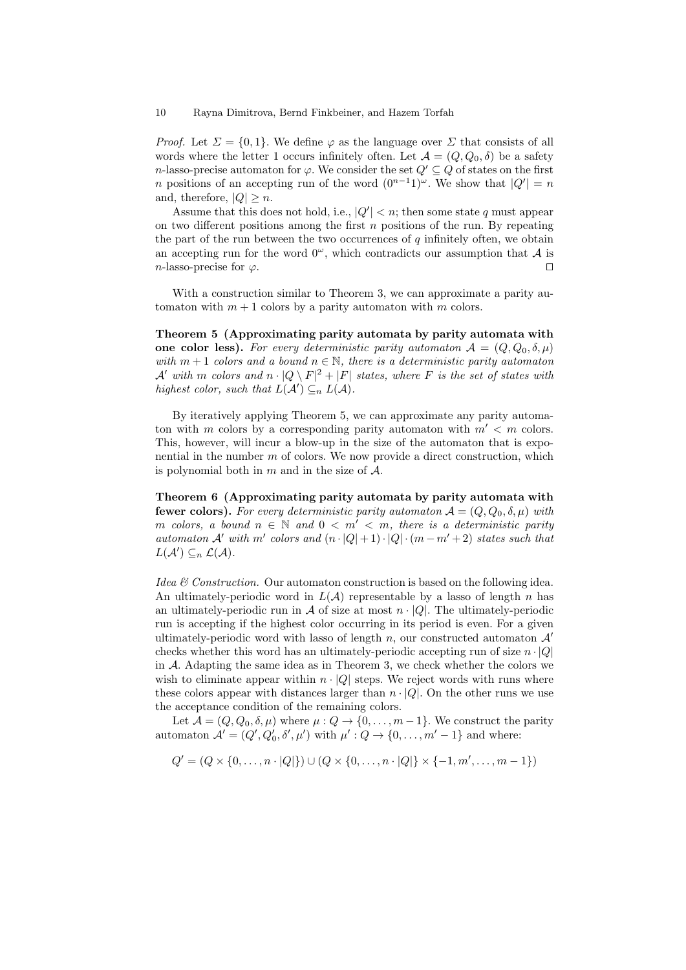*Proof.* Let  $\Sigma = \{0, 1\}$ . We define  $\varphi$  as the language over  $\Sigma$  that consists of all words where the letter 1 occurs infinitely often. Let  $\mathcal{A} = (Q, Q_0, \delta)$  be a safety n-lasso-precise automaton for  $\varphi$ . We consider the set  $Q' \subseteq Q$  of states on the first n positions of an accepting run of the word  $(0^{n-1})^{\omega}$ . We show that  $|Q'| = n$ and, therefore,  $|Q| > n$ .

Assume that this does not hold, i.e.,  $|Q'| < n$ ; then some state q must appear on two different positions among the first  $n$  positions of the run. By repeating the part of the run between the two occurrences of  $q$  infinitely often, we obtain an accepting run for the word  $0^\omega$ , which contradicts our assumption that A is  $n$ -lasso-precise for  $\varphi$ . □

With a construction similar to Theorem 3, we can approximate a parity automaton with  $m + 1$  colors by a parity automaton with m colors.

Theorem 5 (Approximating parity automata by parity automata with one color less). For every deterministic parity automaton  $A = (Q, Q_0, \delta, \mu)$ with  $m + 1$  colors and a bound  $n \in \mathbb{N}$ , there is a deterministic parity automaton  $\mathcal{A}'$  with m colors and  $n \cdot |Q \setminus F|^2 + |F|$  states, where F is the set of states with highest color, such that  $L(\mathcal{A}') \subseteq_n L(\mathcal{A})$ .

By iteratively applying Theorem 5, we can approximate any parity automaton with m colors by a corresponding parity automaton with  $m' < m$  colors. This, however, will incur a blow-up in the size of the automaton that is exponential in the number  $m$  of colors. We now provide a direct construction, which is polynomial both in  $m$  and in the size of  $A$ .

Theorem 6 (Approximating parity automata by parity automata with **fewer colors).** For every deterministic parity automaton  $A = (Q, Q_0, \delta, \mu)$  with m colors, a bound  $n \in \mathbb{N}$  and  $0 < m' < m$ , there is a deterministic parity automaton A' with m' colors and  $(n \cdot |Q| + 1) \cdot |Q| \cdot (m - m' + 2)$  states such that  $L(\mathcal{A}') \subseteq_n \mathcal{L}(\mathcal{A})$ .

Idea & Construction. Our automaton construction is based on the following idea. An ultimately-periodic word in  $L(\mathcal{A})$  representable by a lasso of length n has an ultimately-periodic run in A of size at most  $n \cdot |Q|$ . The ultimately-periodic run is accepting if the highest color occurring in its period is even. For a given ultimately-periodic word with lasso of length n, our constructed automaton  $\mathcal{A}'$ checks whether this word has an ultimately-periodic accepting run of size  $n \cdot |Q|$ in  $A$ . Adapting the same idea as in Theorem 3, we check whether the colors we wish to eliminate appear within  $n \cdot |Q|$  steps. We reject words with runs where these colors appear with distances larger than  $n \cdot |Q|$ . On the other runs we use the acceptance condition of the remaining colors.

Let  $\mathcal{A} = (Q, Q_0, \delta, \mu)$  where  $\mu : Q \to \{0, \ldots, m-1\}$ . We construct the parity automaton  $\mathcal{A}' = (Q', Q'_0, \delta', \mu')$  with  $\mu' : Q \to \{0, \ldots, m' - 1\}$  and where:

$$
Q' = (Q \times \{0, \dots, n \cdot |Q|\}) \cup (Q \times \{0, \dots, n \cdot |Q|\} \times \{-1, m', \dots, m-1\})
$$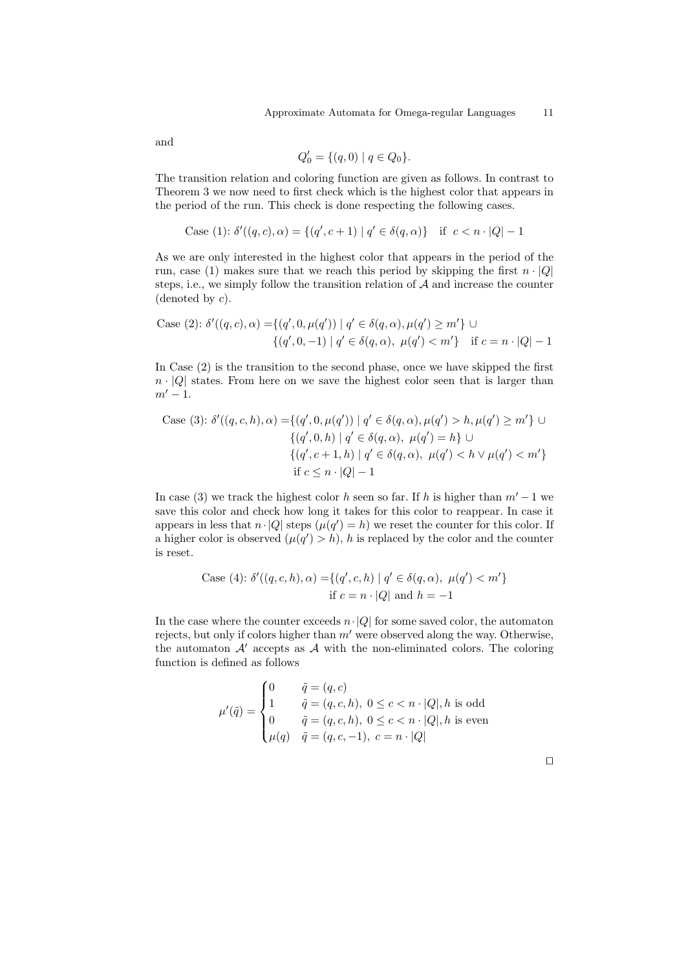and

$$
Q_0' = \{(q, 0) \mid q \in Q_0\}.
$$

The transition relation and coloring function are given as follows. In contrast to Theorem 3 we now need to first check which is the highest color that appears in the period of the run. This check is done respecting the following cases.

Case (1): 
$$
\delta'((q, c), \alpha) = \{(q', c + 1) | q' \in \delta(q, \alpha)\}
$$
 if  $c < n \cdot |Q| - 1$ 

As we are only interested in the highest color that appears in the period of the run, case (1) makes sure that we reach this period by skipping the first  $n \cdot |Q|$ steps, i.e., we simply follow the transition relation of  $A$  and increase the counter (denoted by c).

Case (2): 
$$
\delta'((q, c), \alpha) = \{(q', 0, \mu(q')) \mid q' \in \delta(q, \alpha), \mu(q') \ge m'\} \cup \{(q', 0, -1) \mid q' \in \delta(q, \alpha), \mu(q') < m'\}
$$
 if  $c = n \cdot |Q| - 1$ 

In Case (2) is the transition to the second phase, once we have skipped the first  $n \cdot |Q|$  states. From here on we save the highest color seen that is larger than  $m'-1$ .

Case (3): 
$$
\delta'((q, c, h), \alpha) = \{(q', 0, \mu(q')) \mid q' \in \delta(q, \alpha), \mu(q') > h, \mu(q') \ge m'\} \cup
$$
  
\n $\{(q', 0, h) \mid q' \in \delta(q, \alpha), \mu(q') = h\} \cup$   
\n $\{(q', c + 1, h) \mid q' \in \delta(q, \alpha), \mu(q') < h \lor \mu(q') < m'\}$   
\nif  $c \le n \cdot |Q| - 1$ 

In case (3) we track the highest color h seen so far. If h is higher than  $m' - 1$  we save this color and check how long it takes for this color to reappear. In case it appears in less that  $n \cdot |Q|$  steps  $(\mu(q') = h)$  we reset the counter for this color. If a higher color is observed  $(\mu(q') > h)$ , h is replaced by the color and the counter is reset.

Case (4): 
$$
\delta'((q, c, h), \alpha) = \{(q', c, h) | q' \in \delta(q, \alpha), \mu(q') < m'\}\
$$
  
if  $c = n \cdot |Q|$  and  $h = -1$ 

In the case where the counter exceeds  $n \cdot |Q|$  for some saved color, the automaton rejects, but only if colors higher than  $m'$  were observed along the way. Otherwise, the automaton  $A'$  accepts as  $A$  with the non-eliminated colors. The coloring function is defined as follows

$$
\mu'(\tilde{q}) = \begin{cases}\n0 & \tilde{q} = (q, c) \\
1 & \tilde{q} = (q, c, h), \ 0 \le c < n \cdot |Q|, h \text{ is odd} \\
0 & \tilde{q} = (q, c, h), \ 0 \le c < n \cdot |Q|, h \text{ is even} \\
\mu(q) & \tilde{q} = (q, c, -1), \ c = n \cdot |Q|\n\end{cases}
$$

⊓⊔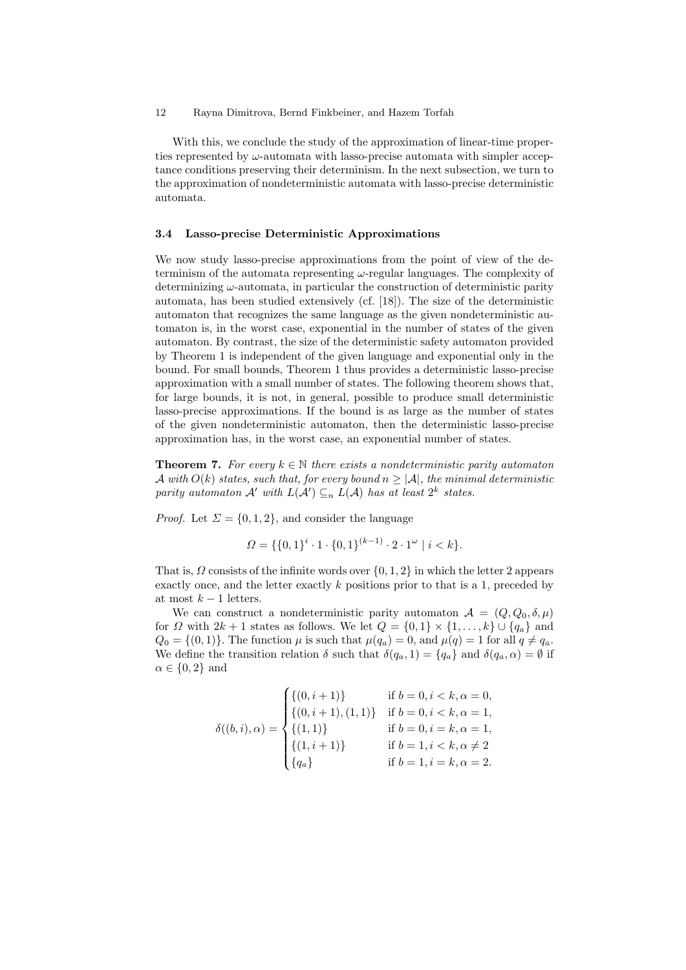With this, we conclude the study of the approximation of linear-time properties represented by  $\omega$ -automata with lasso-precise automata with simpler acceptance conditions preserving their determinism. In the next subsection, we turn to the approximation of nondeterministic automata with lasso-precise deterministic automata.

### 3.4 Lasso-precise Deterministic Approximations

We now study lasso-precise approximations from the point of view of the determinism of the automata representing  $\omega$ -regular languages. The complexity of determinizing  $\omega$ -automata, in particular the construction of deterministic parity automata, has been studied extensively (cf. [18]). The size of the deterministic automaton that recognizes the same language as the given nondeterministic automaton is, in the worst case, exponential in the number of states of the given automaton. By contrast, the size of the deterministic safety automaton provided by Theorem 1 is independent of the given language and exponential only in the bound. For small bounds, Theorem 1 thus provides a deterministic lasso-precise approximation with a small number of states. The following theorem shows that, for large bounds, it is not, in general, possible to produce small deterministic lasso-precise approximations. If the bound is as large as the number of states of the given nondeterministic automaton, then the deterministic lasso-precise approximation has, in the worst case, an exponential number of states.

**Theorem 7.** For every  $k \in \mathbb{N}$  there exists a nondeterministic parity automaton A with  $O(k)$  states, such that, for every bound  $n \geq |\mathcal{A}|$ , the minimal deterministic parity automaton  $\mathcal{A}'$  with  $L(\mathcal{A}') \subseteq_n L(\mathcal{A})$  has at least  $2^k$  states.

*Proof.* Let  $\Sigma = \{0, 1, 2\}$ , and consider the language

$$
\Omega = \{ \{0, 1\}^i \cdot 1 \cdot \{0, 1\}^{(k-1)} \cdot 2 \cdot 1^{\omega} \mid i < k \}.
$$

That is,  $\Omega$  consists of the infinite words over  $\{0, 1, 2\}$  in which the letter 2 appears exactly once, and the letter exactly  $k$  positions prior to that is a 1, preceded by at most  $k-1$  letters.

We can construct a nondeterministic parity automaton  $\mathcal{A} = (Q, Q_0, \delta, \mu)$ for  $\Omega$  with  $2k + 1$  states as follows. We let  $Q = \{0, 1\} \times \{1, ..., k\} \cup \{q_a\}$  and  $Q_0 = \{(0, 1)\}\.$  The function  $\mu$  is such that  $\mu(q_a) = 0$ , and  $\mu(q) = 1$  for all  $q \neq q_a$ . We define the transition relation  $\delta$  such that  $\delta(q_a, 1) = \{q_a\}$  and  $\delta(q_a, \alpha) = \emptyset$  if  $\alpha \in \{0,2\}$  and

$$
\delta((b,i),\alpha) = \begin{cases}\n\{(0,i+1)\} & \text{if } b = 0, i < k, \alpha = 0, \\
\{(0,i+1),(1,1)\} & \text{if } b = 0, i < k, \alpha = 1, \\
\{(1,1)\} & \text{if } b = 0, i = k, \alpha = 1, \\
\{(1,i+1)\} & \text{if } b = 1, i < k, \alpha \neq 2 \\
\{q_a\} & \text{if } b = 1, i = k, \alpha = 2.\n\end{cases}
$$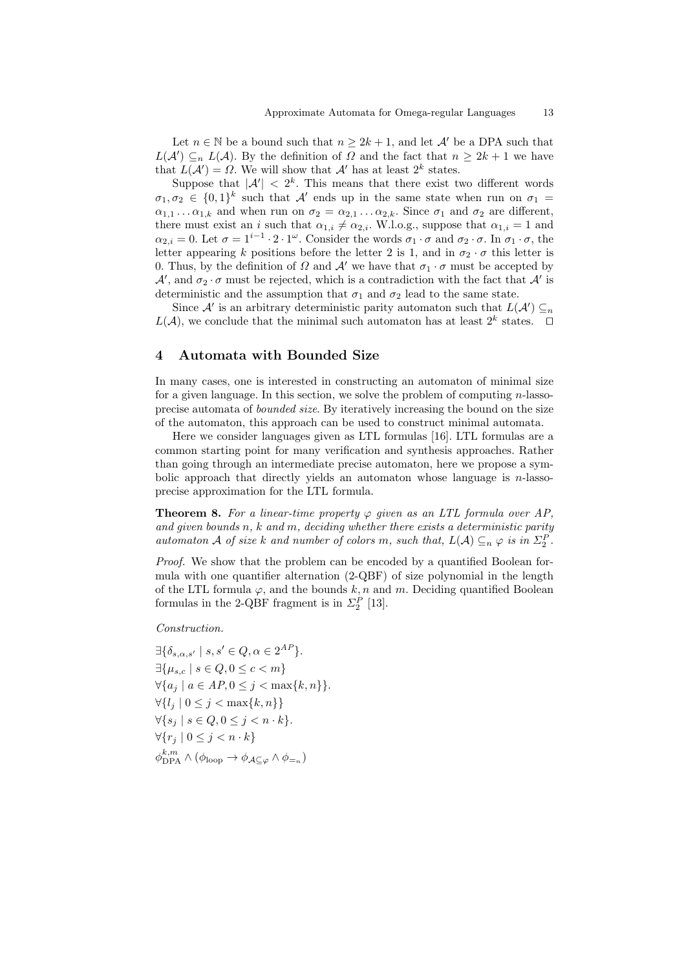Let  $n \in \mathbb{N}$  be a bound such that  $n \geq 2k + 1$ , and let A' be a DPA such that  $L(\mathcal{A}') \subseteq_n L(\mathcal{A})$ . By the definition of  $\Omega$  and the fact that  $n \geq 2k+1$  we have that  $L(\mathcal{A}') = \Omega$ . We will show that  $\mathcal{A}'$  has at least  $2^k$  states.

Suppose that  $|\mathcal{A}'| < 2^k$ . This means that there exist two different words  $\sigma_1, \sigma_2 \in \{0,1\}^k$  such that A' ends up in the same state when run on  $\sigma_1 =$  $\alpha_{1,1} \ldots \alpha_{1,k}$  and when run on  $\sigma_2 = \alpha_{2,1} \ldots \alpha_{2,k}$ . Since  $\sigma_1$  and  $\sigma_2$  are different, there must exist an i such that  $\alpha_{1,i} \neq \alpha_{2,i}$ . W.l.o.g., suppose that  $\alpha_{1,i} = 1$  and  $\alpha_{2,i} = 0$ . Let  $\sigma = 1^{i-1} \cdot 2 \cdot 1^{\omega}$ . Consider the words  $\sigma_1 \cdot \sigma$  and  $\sigma_2 \cdot \sigma$ . In  $\sigma_1 \cdot \sigma$ , the letter appearing k positions before the letter 2 is 1, and in  $\sigma_2 \cdot \sigma$  this letter is 0. Thus, by the definition of  $\Omega$  and  $\mathcal{A}'$  we have that  $\sigma_1 \cdot \sigma$  must be accepted by  $\mathcal{A}'$ , and  $\sigma_2 \cdot \sigma$  must be rejected, which is a contradiction with the fact that  $\mathcal{A}'$  is deterministic and the assumption that  $\sigma_1$  and  $\sigma_2$  lead to the same state.

Since  $\mathcal{A}'$  is an arbitrary deterministic parity automaton such that  $L(\mathcal{A}') \subseteq_n$  $L(\mathcal{A})$ , we conclude that the minimal such automaton has at least  $2^k$  states.  $\Box$ 

## 4 Automata with Bounded Size

In many cases, one is interested in constructing an automaton of minimal size for a given language. In this section, we solve the problem of computing  $n$ -lassoprecise automata of bounded size. By iteratively increasing the bound on the size of the automaton, this approach can be used to construct minimal automata.

Here we consider languages given as LTL formulas [16]. LTL formulas are a common starting point for many verification and synthesis approaches. Rather than going through an intermediate precise automaton, here we propose a symbolic approach that directly yields an automaton whose language is  $n$ -lassoprecise approximation for the LTL formula.

**Theorem 8.** For a linear-time property  $\varphi$  given as an LTL formula over AP, and given bounds n,  $k$  and m, deciding whether there exists a deterministic parity automaton A of size k and number of colors m, such that,  $L(A) \subseteq_n \varphi$  is in  $\Sigma_2^P$ .

Proof. We show that the problem can be encoded by a quantified Boolean formula with one quantifier alternation (2-QBF) of size polynomial in the length of the LTL formula  $\varphi$ , and the bounds  $k, n$  and m. Deciding quantified Boolean formulas in the 2-QBF fragment is in  $\Sigma_2^P$  [13].

Construction.

 $\exists \{\delta_{s,\alpha,s'} \mid s,s' \in Q, \alpha \in 2^{AP}\}.$  $\exists \{\mu_{s,c} \mid s \in Q, 0 \leq c < m\}$  $\forall \{a_j \mid a \in AP, 0 \leq j < \max\{k, n\}\}.$  $\forall \{l_j \mid 0 \leq j < \max\{k, n\}\}\$  $\forall \{s_j \mid s \in Q, 0 \leq j \leq n \cdot k\}.$  $\forall \{r_j \mid 0 \leq j < n \cdot k\}$  $\phi_{\text{DPA}}^{k,m} \wedge (\phi_{\text{loop}} \rightarrow \phi_{\mathcal{A}} \subseteq \varphi \wedge \phi_{=n})$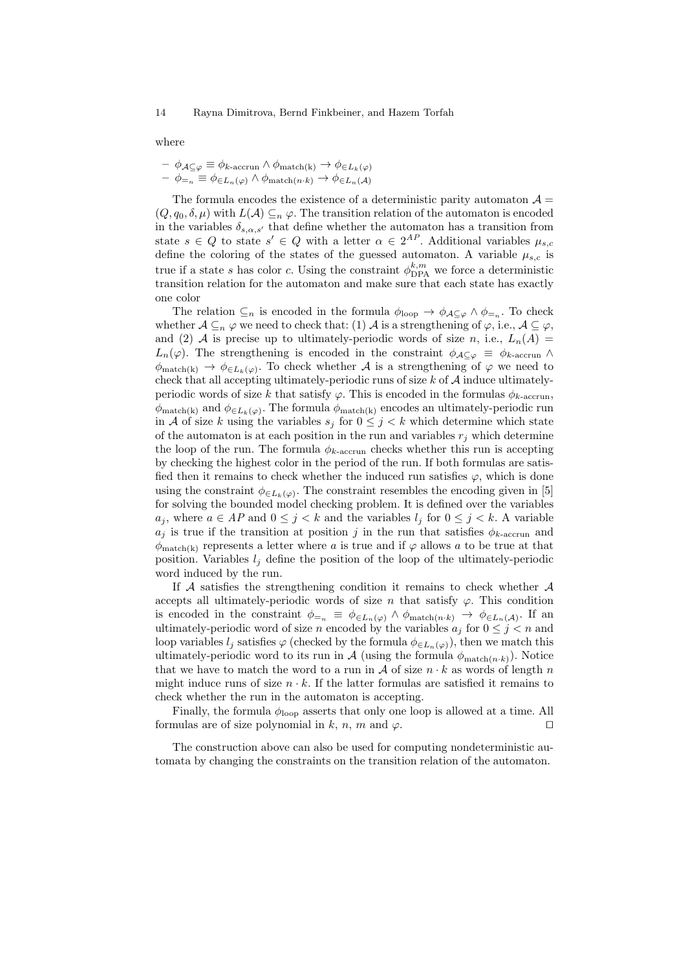where

 $- \phi_{\mathcal{A}\subseteq\varphi} \equiv \phi_{k\text{-}accrun} \wedge \phi_{\text{match}(k)} \rightarrow \phi_{\in L_k(\varphi)}$  $-\phi_{n} \equiv \phi \in L_n(\varphi) \land \phi_{\text{match}}(n \cdot k) \rightarrow \phi \in L_n(\mathcal{A})$ 

The formula encodes the existence of a deterministic parity automaton  $\mathcal{A} =$  $(Q, q_0, \delta, \mu)$  with  $L(\mathcal{A}) \subseteq_n \varphi$ . The transition relation of the automaton is encoded in the variables  $\delta_{s,\alpha,s'}$  that define whether the automaton has a transition from state  $s \in Q$  to state  $s' \in Q$  with a letter  $\alpha \in 2^{AP}$ . Additional variables  $\mu_{s,c}$ define the coloring of the states of the guessed automaton. A variable  $\mu_{s,c}$  is true if a state s has color c. Using the constraint  $\phi_{\text{DPA}}^{k,m}$  we force a deterministic transition relation for the automaton and make sure that each state has exactly one color

The relation  $\subseteq_n$  is encoded in the formula  $\phi_{\text{loop}} \to \phi_{A \subseteq \varphi} \wedge \phi_{=n}$ . To check whether  $A \subseteq_n \varphi$  we need to check that: (1) A is a strengthening of  $\varphi$ , i.e.,  $A \subseteq \varphi$ , and (2) A is precise up to ultimately-periodic words of size n, i.e.,  $L_n(A)$  =  $L_n(\varphi)$ . The strengthening is encoded in the constraint  $\phi_{\mathcal{A}\subseteq\varphi} \equiv \phi_{k\text{-accrun}} \wedge$  $\phi_{\text{match}(k)} \to \phi_{\in L_k(\varphi)}$ . To check whether A is a strengthening of  $\varphi$  we need to check that all accepting ultimately-periodic runs of size  $k$  of  $A$  induce ultimatelyperiodic words of size k that satisfy  $\varphi$ . This is encoded in the formulas  $\phi_{k\text{-accrun}}$ ,  $\phi_{match(k)}$  and  $\phi_{\in L_k(\varphi)}$ . The formula  $\phi_{match(k)}$  encodes an ultimately-periodic run in A of size k using the variables  $s_j$  for  $0 \leq j \leq k$  which determine which state of the automaton is at each position in the run and variables  $r_i$  which determine the loop of the run. The formula  $\phi_{k\text{-accrun}}$  checks whether this run is accepting by checking the highest color in the period of the run. If both formulas are satisfied then it remains to check whether the induced run satisfies  $\varphi$ , which is done using the constraint  $\phi_{\in L_k(\varphi)}$ . The constraint resembles the encoding given in [5] for solving the bounded model checking problem. It is defined over the variables  $a_j$ , where  $a \in AP$  and  $0 \leq j < k$  and the variables  $l_j$  for  $0 \leq j < k$ . A variable  $a_j$  is true if the transition at position j in the run that satisfies  $\phi_{k\text{-accrun}}$  and  $\phi_{\text{match}(k)}$  represents a letter where a is true and if  $\varphi$  allows a to be true at that position. Variables  $l_i$  define the position of the loop of the ultimately-periodic word induced by the run.

If  $\mathcal A$  satisfies the strengthening condition it remains to check whether  $\mathcal A$ accepts all ultimately-periodic words of size n that satisfy  $\varphi$ . This condition is encoded in the constraint  $\phi_{n} \equiv \phi \in L_n(\varphi) \land \phi_{\text{match}(n \cdot k)} \to \phi \in L_n(\mathcal{A})$ . If an ultimately-periodic word of size n encoded by the variables  $a_j$  for  $0 \leq j < n$  and loop variables  $l_j$  satisfies  $\varphi$  (checked by the formula  $\phi \in L_n(\varphi)$ ), then we match this ultimately-periodic word to its run in A (using the formula  $\phi_{\text{match}(n\cdot k)}$ ). Notice that we have to match the word to a run in A of size  $n \cdot k$  as words of length n might induce runs of size  $n \cdot k$ . If the latter formulas are satisfied it remains to check whether the run in the automaton is accepting.

Finally, the formula  $\phi_{\text{loop}}$  asserts that only one loop is allowed at a time. All formulas are of size polynomial in k, n, m and  $\varphi$ . □

The construction above can also be used for computing nondeterministic automata by changing the constraints on the transition relation of the automaton.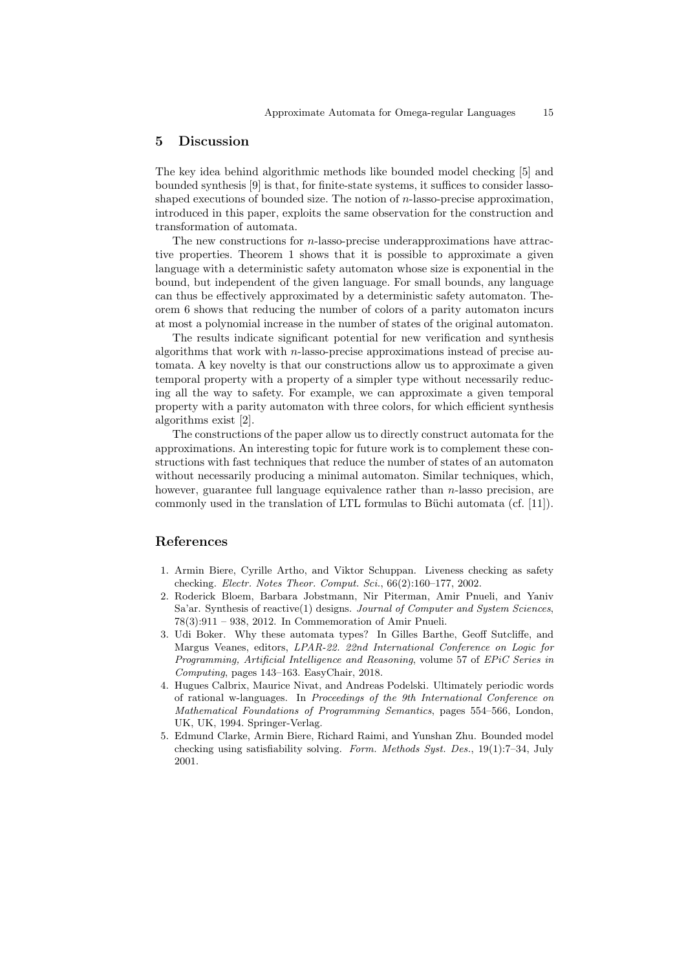## 5 Discussion

The key idea behind algorithmic methods like bounded model checking [5] and bounded synthesis [9] is that, for finite-state systems, it suffices to consider lassoshaped executions of bounded size. The notion of  $n$ -lasso-precise approximation, introduced in this paper, exploits the same observation for the construction and transformation of automata.

The new constructions for  $n$ -lasso-precise underapproximations have attractive properties. Theorem 1 shows that it is possible to approximate a given language with a deterministic safety automaton whose size is exponential in the bound, but independent of the given language. For small bounds, any language can thus be effectively approximated by a deterministic safety automaton. Theorem 6 shows that reducing the number of colors of a parity automaton incurs at most a polynomial increase in the number of states of the original automaton.

The results indicate significant potential for new verification and synthesis algorithms that work with n-lasso-precise approximations instead of precise automata. A key novelty is that our constructions allow us to approximate a given temporal property with a property of a simpler type without necessarily reducing all the way to safety. For example, we can approximate a given temporal property with a parity automaton with three colors, for which efficient synthesis algorithms exist [2].

The constructions of the paper allow us to directly construct automata for the approximations. An interesting topic for future work is to complement these constructions with fast techniques that reduce the number of states of an automaton without necessarily producing a minimal automaton. Similar techniques, which, however, guarantee full language equivalence rather than  $n$ -lasso precision, are commonly used in the translation of LTL formulas to Büchi automata (cf.  $[11]$ ).

## References

- 1. Armin Biere, Cyrille Artho, and Viktor Schuppan. Liveness checking as safety checking. Electr. Notes Theor. Comput. Sci., 66(2):160–177, 2002.
- 2. Roderick Bloem, Barbara Jobstmann, Nir Piterman, Amir Pnueli, and Yaniv Sa'ar. Synthesis of reactive(1) designs. Journal of Computer and System Sciences, 78(3):911 – 938, 2012. In Commemoration of Amir Pnueli.
- 3. Udi Boker. Why these automata types? In Gilles Barthe, Geoff Sutcliffe, and Margus Veanes, editors, LPAR-22. 22nd International Conference on Logic for Programming, Artificial Intelligence and Reasoning, volume 57 of EPiC Series in Computing, pages 143–163. EasyChair, 2018.
- 4. Hugues Calbrix, Maurice Nivat, and Andreas Podelski. Ultimately periodic words of rational w-languages. In Proceedings of the 9th International Conference on Mathematical Foundations of Programming Semantics, pages 554–566, London, UK, UK, 1994. Springer-Verlag.
- 5. Edmund Clarke, Armin Biere, Richard Raimi, and Yunshan Zhu. Bounded model checking using satisfiability solving. Form. Methods Syst. Des., 19(1):7–34, July 2001.